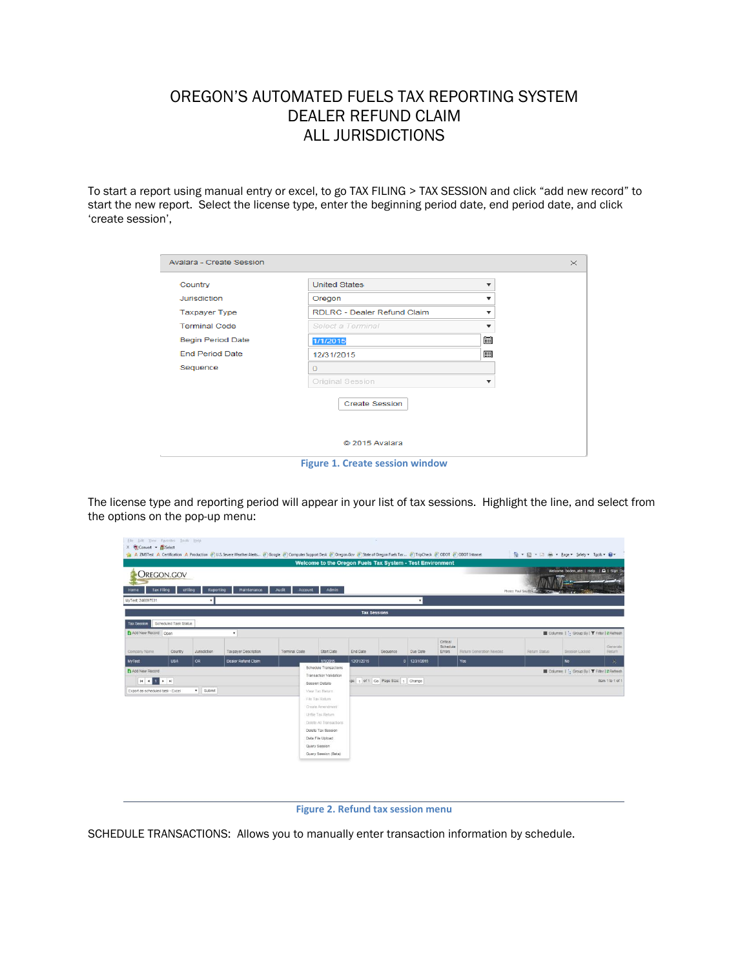## OREGON'S AUTOMATED FUELS TAX REPORTING SYSTEM DEALER REFUND CLAIM ALL JURISDICTIONS

To start a report using manual entry or excel, to go TAX FILING > TAX SESSION and click "add new record" to start the new report. Select the license type, enter the beginning period date, end period date, and click 'create session',

| Avalara - Create Session |                                        |                          |  |
|--------------------------|----------------------------------------|--------------------------|--|
| Country                  | <b>United States</b>                   | ▼                        |  |
| Jurisdiction             | Oregon                                 | ▼                        |  |
| <b>Taxpayer Type</b>     | RDLRC - Dealer Refund Claim            |                          |  |
| <b>Terminal Code</b>     | Select a Terminal                      | $\overline{\phantom{a}}$ |  |
| <b>Begin Period Date</b> | 1/1/2015                               | 餔                        |  |
| <b>End Period Date</b>   | 12/31/2015                             | 圃                        |  |
| Sequence                 | $\Omega$                               |                          |  |
|                          | Original Session                       | ▼                        |  |
|                          | <b>Create Session</b>                  |                          |  |
|                          | C 2015 Avalara                         |                          |  |
|                          | <b>Figure 1. Create session window</b> |                          |  |

The license type and reporting period will appear in your list of tax sessions. Highlight the line, and select from the options on the pop-up menu:

| File Edit View Favorites Tools Help<br>X Convert . ESelect |                       |                     | A ZMSTest A Certification A Production @ U.S. Severe Weather Alerts @ Google @ Computer Support Desk @ Oregon.Gov @ State of Oregon Fuels Tax  @ TripCheck @ ODOT @ ODOT Intranet |                  |                                                                                                                                                                        |            | - 7                               |                                                  |                                       |                          |                        | <sup>●</sup> 图 · □ ● · Page · Safety · Tgols · <sup>●</sup> |                            |  |  |  |
|------------------------------------------------------------|-----------------------|---------------------|-----------------------------------------------------------------------------------------------------------------------------------------------------------------------------------|------------------|------------------------------------------------------------------------------------------------------------------------------------------------------------------------|------------|-----------------------------------|--------------------------------------------------|---------------------------------------|--------------------------|------------------------|-------------------------------------------------------------|----------------------------|--|--|--|
| <b>OREGON.GOV</b><br><b>Tax Filing</b><br>Home             | eFiling               | Reporting           | Maintenance                                                                                                                                                                       | Audit<br>Account | Welcome to the Oregon Fuels Tax System - Test Environment<br><b>Admin</b>                                                                                              |            |                                   |                                                  |                                       |                          | Photo: Paul Szudzikili | Welcome boden_ate   Help   Q   Sign Ou<br>10184             |                            |  |  |  |
| MyTest; 246897531                                          |                       |                     |                                                                                                                                                                                   |                  |                                                                                                                                                                        |            |                                   |                                                  |                                       |                          |                        |                                                             |                            |  |  |  |
|                                                            |                       |                     |                                                                                                                                                                                   |                  |                                                                                                                                                                        |            | <b>Tax Sessions</b>               |                                                  |                                       |                          |                        |                                                             |                            |  |  |  |
| <b>Tax Session</b>                                         | Scheduled Task Status |                     |                                                                                                                                                                                   |                  |                                                                                                                                                                        |            |                                   |                                                  |                                       |                          |                        |                                                             |                            |  |  |  |
| Add New Record Open                                        |                       |                     | $\star$                                                                                                                                                                           |                  |                                                                                                                                                                        |            |                                   |                                                  |                                       |                          |                        | III Columns   '- Group By   T Filter   2 Refresh            |                            |  |  |  |
| Company Name                                               | Country.              | Jurisdiction        | Taxpayer Description                                                                                                                                                              | Terminal Code    | Start Date                                                                                                                                                             | End Date   | Sequence                          | Due Date                                         | Critical<br>Schedule<br><b>Errors</b> | Return Generation Needed | Return Status          | Session Locked                                              | Generate<br>Return         |  |  |  |
| <b>MyTest</b>                                              | <b>USA</b>            | OR                  | Dealer Refund Claim                                                                                                                                                               |                  | 1/1/2015                                                                                                                                                               | 12/31/2015 |                                   | 0 12/31/2015                                     |                                       | Yes                      |                        | No.                                                         | $\mathcal{L}_{\mathbf{r}}$ |  |  |  |
| Add New Record                                             |                       |                     |                                                                                                                                                                                   |                  | Schedule Transactions<br><b>Transaction Validation</b>                                                                                                                 |            |                                   | III Columns 1 :- Group By I T Filter   2 Refresh |                                       |                          |                        |                                                             |                            |  |  |  |
| $H = 1$ $H = H$                                            |                       |                     |                                                                                                                                                                                   |                  | Session Details                                                                                                                                                        |            | ge: 1 of 1 Go Page Size: 1 Change |                                                  |                                       |                          |                        |                                                             |                            |  |  |  |
| Export as scheduled task - Excel                           |                       | $\mathbf{v}$ Submit |                                                                                                                                                                                   |                  | View Tax Rebirn                                                                                                                                                        |            |                                   |                                                  |                                       |                          |                        |                                                             |                            |  |  |  |
|                                                            |                       |                     |                                                                                                                                                                                   |                  | File Tax Return<br>Create Amendment<br>Unfile Tax Return<br>Delete All Transactions<br>Delete Tax Session<br>Data File Upload<br>Query Session<br>Query Session (Beta) |            |                                   |                                                  |                                       |                          |                        |                                                             |                            |  |  |  |

## **Figure 2. Refund tax session menu**

SCHEDULE TRANSACTIONS: Allows you to manually enter transaction information by schedule.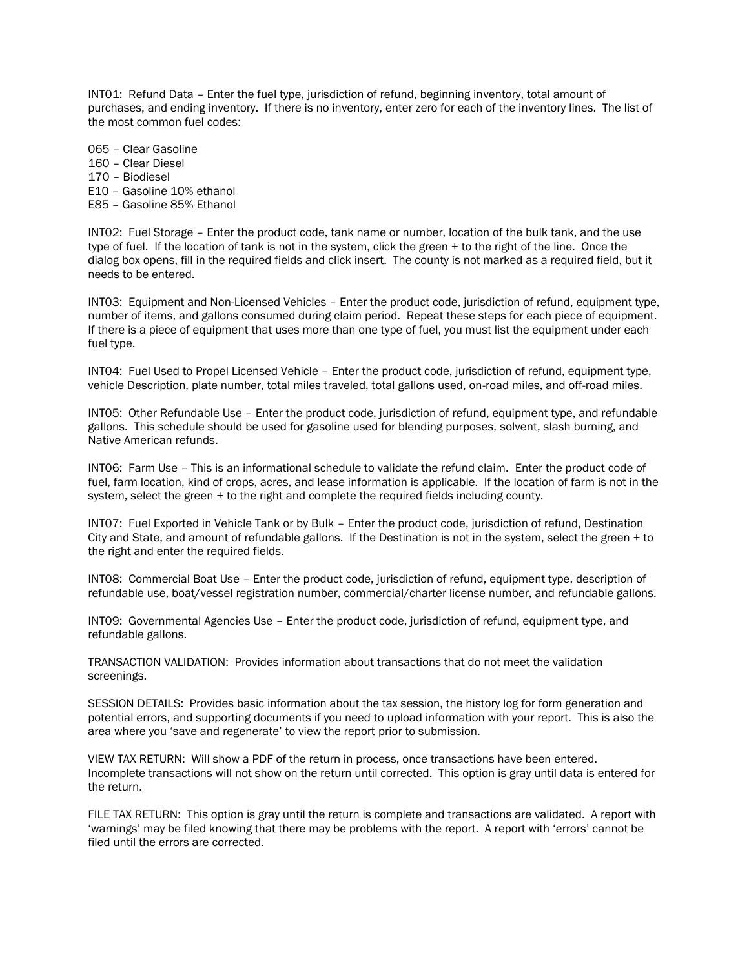INT01: Refund Data – Enter the fuel type, jurisdiction of refund, beginning inventory, total amount of purchases, and ending inventory. If there is no inventory, enter zero for each of the inventory lines. The list of the most common fuel codes:

065 – Clear Gasoline 160 – Clear Diesel 170 – Biodiesel E10 – Gasoline 10% ethanol E85 – Gasoline 85% Ethanol

INT02: Fuel Storage – Enter the product code, tank name or number, location of the bulk tank, and the use type of fuel. If the location of tank is not in the system, click the green + to the right of the line. Once the dialog box opens, fill in the required fields and click insert. The county is not marked as a required field, but it needs to be entered.

INT03: Equipment and Non-Licensed Vehicles – Enter the product code, jurisdiction of refund, equipment type, number of items, and gallons consumed during claim period. Repeat these steps for each piece of equipment. If there is a piece of equipment that uses more than one type of fuel, you must list the equipment under each fuel type.

INT04: Fuel Used to Propel Licensed Vehicle – Enter the product code, jurisdiction of refund, equipment type, vehicle Description, plate number, total miles traveled, total gallons used, on-road miles, and off-road miles.

INT05: Other Refundable Use – Enter the product code, jurisdiction of refund, equipment type, and refundable gallons. This schedule should be used for gasoline used for blending purposes, solvent, slash burning, and Native American refunds.

INT06: Farm Use – This is an informational schedule to validate the refund claim. Enter the product code of fuel, farm location, kind of crops, acres, and lease information is applicable. If the location of farm is not in the system, select the green + to the right and complete the required fields including county.

INT07: Fuel Exported in Vehicle Tank or by Bulk – Enter the product code, jurisdiction of refund, Destination City and State, and amount of refundable gallons. If the Destination is not in the system, select the green + to the right and enter the required fields.

INT08: Commercial Boat Use – Enter the product code, jurisdiction of refund, equipment type, description of refundable use, boat/vessel registration number, commercial/charter license number, and refundable gallons.

INT09: Governmental Agencies Use – Enter the product code, jurisdiction of refund, equipment type, and refundable gallons.

TRANSACTION VALIDATION: Provides information about transactions that do not meet the validation screenings.

SESSION DETAILS: Provides basic information about the tax session, the history log for form generation and potential errors, and supporting documents if you need to upload information with your report. This is also the area where you 'save and regenerate' to view the report prior to submission.

VIEW TAX RETURN: Will show a PDF of the return in process, once transactions have been entered. Incomplete transactions will not show on the return until corrected. This option is gray until data is entered for the return.

FILE TAX RETURN: This option is gray until the return is complete and transactions are validated. A report with 'warnings' may be filed knowing that there may be problems with the report. A report with 'errors' cannot be filed until the errors are corrected.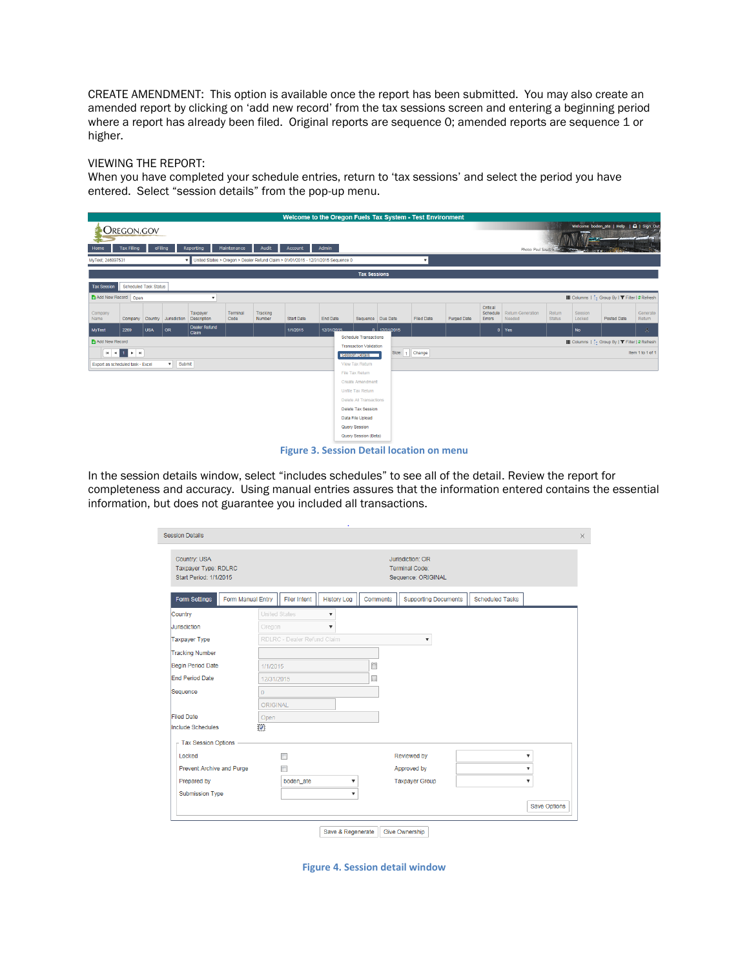CREATE AMENDMENT: This option is available once the report has been submitted. You may also create an amended report by clicking on 'add new record' from the tax sessions screen and entering a beginning period where a report has already been filed. Original reports are sequence 0; amended reports are sequence 1 or higher.

## VIEWING THE REPORT:

When you have completed your schedule entries, return to 'tax sessions' and select the period you have entered. Select "session details" from the pop-up menu.

|                                                                                                                                       |                              |            |              |                         |                  |                    |                         | Welcome to the Oregon Fuels Tax System - Test Environment |                                                                                                                   |              |                   |             |                                |                             |                         |                             |                                                  |                    |
|---------------------------------------------------------------------------------------------------------------------------------------|------------------------------|------------|--------------|-------------------------|------------------|--------------------|-------------------------|-----------------------------------------------------------|-------------------------------------------------------------------------------------------------------------------|--------------|-------------------|-------------|--------------------------------|-----------------------------|-------------------------|-----------------------------|--------------------------------------------------|--------------------|
| <b>OREGON.GOV</b>                                                                                                                     |                              |            |              |                         |                  |                    |                         |                                                           |                                                                                                                   |              |                   |             |                                |                             |                         |                             | Welcome boden ate   Help   Q   Sign Out          |                    |
|                                                                                                                                       |                              |            |              |                         |                  |                    |                         |                                                           |                                                                                                                   |              |                   |             |                                |                             |                         |                             |                                                  |                    |
| Home                                                                                                                                  | <b>Tax Filing</b>            | eFiling    |              | Reporting               | Maintenance      | Audit              | Account                 | Admin                                                     |                                                                                                                   |              |                   |             |                                | Photo: Paul Szudzik         |                         | <b>CONTRACTOR</b><br>157.07 |                                                  |                    |
| V United States > Oregon > Dealer Refund Claim > 01/01/2015 - 12/31/2015 Sequence 0<br>MyTest; 246897531<br>$\boldsymbol{\mathrm{v}}$ |                              |            |              |                         |                  |                    |                         |                                                           |                                                                                                                   |              |                   |             |                                |                             |                         |                             |                                                  |                    |
| <b>Tax Sessions</b>                                                                                                                   |                              |            |              |                         |                  |                    |                         |                                                           |                                                                                                                   |              |                   |             |                                |                             |                         |                             |                                                  |                    |
| <b>Tax Session</b>                                                                                                                    | <b>Scheduled Task Status</b> |            |              |                         |                  |                    |                         |                                                           |                                                                                                                   |              |                   |             |                                |                             |                         |                             |                                                  |                    |
| Add New Record Open                                                                                                                   |                              |            |              | ٠                       |                  |                    |                         |                                                           |                                                                                                                   |              |                   |             |                                |                             |                         |                             | III Columns   [- Group By   ▼ Filter   2 Refresh |                    |
| Company<br>Name                                                                                                                       | Company                      | Country    | Jurisdiction | Taxpayer<br>Description | Terminal<br>Code | Tracking<br>Number | <b>Start Date</b>       | End Date                                                  | Sequence Due Date                                                                                                 |              | <b>Filed Date</b> | Purged Date | Critical<br>Schedule<br>Errors | Return Generation<br>Needed | Return<br><b>Status</b> | Session<br>Locked           | Posted Date                                      | Generate<br>Return |
| MyTest                                                                                                                                | 2269                         | <b>USA</b> | OR           | Dealer Refund<br>Claim  |                  |                    | 1/1/2015                | 12/31/2015                                                |                                                                                                                   | 0 12/31/2015 |                   |             | $\mathbf{0}$                   | Yes                         |                         | <b>No</b>                   |                                                  | 蟊                  |
| Add New Record                                                                                                                        |                              |            |              |                         |                  |                    |                         |                                                           | <b>Schedule Transactions</b><br>III Columns    - Group By   ▼ Filter   2 Refresh<br><b>Transaction Validation</b> |              |                   |             |                                |                             |                         |                             |                                                  |                    |
|                                                                                                                                       | $ A $ $ A $ $ A $ $ A $      |            |              |                         |                  |                    |                         |                                                           | Size: 1 Change<br>Item 1 to 1 of 1<br>Session Details                                                             |              |                   |             |                                |                             |                         |                             |                                                  |                    |
| Export as scheduled task - Excel                                                                                                      |                              |            | v Submit     |                         |                  |                    |                         |                                                           | View Tax Return                                                                                                   |              |                   |             |                                |                             |                         |                             |                                                  |                    |
|                                                                                                                                       |                              |            |              |                         |                  |                    |                         |                                                           | File Tax Return                                                                                                   |              |                   |             |                                |                             |                         |                             |                                                  |                    |
|                                                                                                                                       |                              |            |              |                         |                  |                    |                         |                                                           | <b>Create Amendment</b><br>Unfile Tax Return                                                                      |              |                   |             |                                |                             |                         |                             |                                                  |                    |
|                                                                                                                                       |                              |            |              |                         |                  |                    | Delete All Transactions |                                                           |                                                                                                                   |              |                   |             |                                |                             |                         |                             |                                                  |                    |
|                                                                                                                                       |                              |            |              |                         |                  |                    | Delete Tax Session      |                                                           |                                                                                                                   |              |                   |             |                                |                             |                         |                             |                                                  |                    |
|                                                                                                                                       |                              |            |              |                         |                  |                    |                         |                                                           | Data File Upload                                                                                                  |              |                   |             |                                |                             |                         |                             |                                                  |                    |
|                                                                                                                                       |                              |            |              |                         |                  |                    |                         |                                                           | Query Session                                                                                                     |              |                   |             |                                |                             |                         |                             |                                                  |                    |
|                                                                                                                                       |                              |            |              |                         |                  |                    |                         |                                                           | Query Session (Beta)                                                                                              |              |                   |             |                                |                             |                         |                             |                                                  |                    |

**Figure 3. Session Detail location on menu**

In the session details window, select "includes schedules" to see all of the detail. Review the report for completeness and accuracy. Using manual entries assures that the information entered contains the essential information, but does not guarantee you included all transactions.

| Country: USA<br>Taxpayer Type: RDLRC<br>Start Period: 1/1/2015 |                      |                             |                           |          | Jurisdiction: OR<br>Terminal Code:<br>Sequence: ORIGINAL |                        |                           |  |
|----------------------------------------------------------------|----------------------|-----------------------------|---------------------------|----------|----------------------------------------------------------|------------------------|---------------------------|--|
| Form Manual Entry<br><b>Form Settings</b>                      |                      | <b>Filer Intent</b>         | <b>History Log</b>        | Comments | <b>Supporting Documents</b>                              | <b>Scheduled Tasks</b> |                           |  |
| Country                                                        | <b>United States</b> |                             | $\overline{\mathbf{v}}$   |          |                                                          |                        |                           |  |
| <b>Jurisdiction</b>                                            | Oregon               |                             | $\overline{\mathbf{v}}$   |          |                                                          |                        |                           |  |
| <b>Taxpayer Type</b>                                           |                      | RDLRC - Dealer Refund Claim |                           |          | $\boldsymbol{\mathrm{v}}$                                |                        |                           |  |
| <b>Tracking Number</b>                                         |                      |                             |                           |          |                                                          |                        |                           |  |
| Begin Period Date                                              | 1/1/2015             |                             |                           | 圜        |                                                          |                        |                           |  |
| <b>End Period Date</b>                                         | 12/31/2015           |                             |                           | 冒        |                                                          |                        |                           |  |
| Sequence                                                       | $\mathbf{0}$         |                             |                           |          |                                                          |                        |                           |  |
|                                                                | ORIGINAL             |                             |                           |          |                                                          |                        |                           |  |
| <b>Filed Date</b>                                              | Open                 |                             |                           |          |                                                          |                        |                           |  |
| <b>Include Schedules</b>                                       | $ \nabla $           |                             |                           |          |                                                          |                        |                           |  |
| - Tax Session Options                                          |                      |                             |                           |          |                                                          |                        |                           |  |
| Locked                                                         |                      |                             |                           |          | Reviewed by                                              |                        | v                         |  |
| Prevent Archive and Purge                                      |                      |                             |                           |          | Approved by                                              |                        | $\overline{\mathbf{v}}$   |  |
| Prepared by                                                    |                      | boden_ate                   | ▼                         |          | <b>Taxpayer Group</b>                                    |                        | $\boldsymbol{\mathrm{v}}$ |  |
| <b>Submission Type</b>                                         |                      |                             | $\boldsymbol{\mathrm{v}}$ |          |                                                          |                        |                           |  |
|                                                                |                      |                             |                           |          |                                                          |                        | Save Options              |  |

**Figure 4. Session detail window**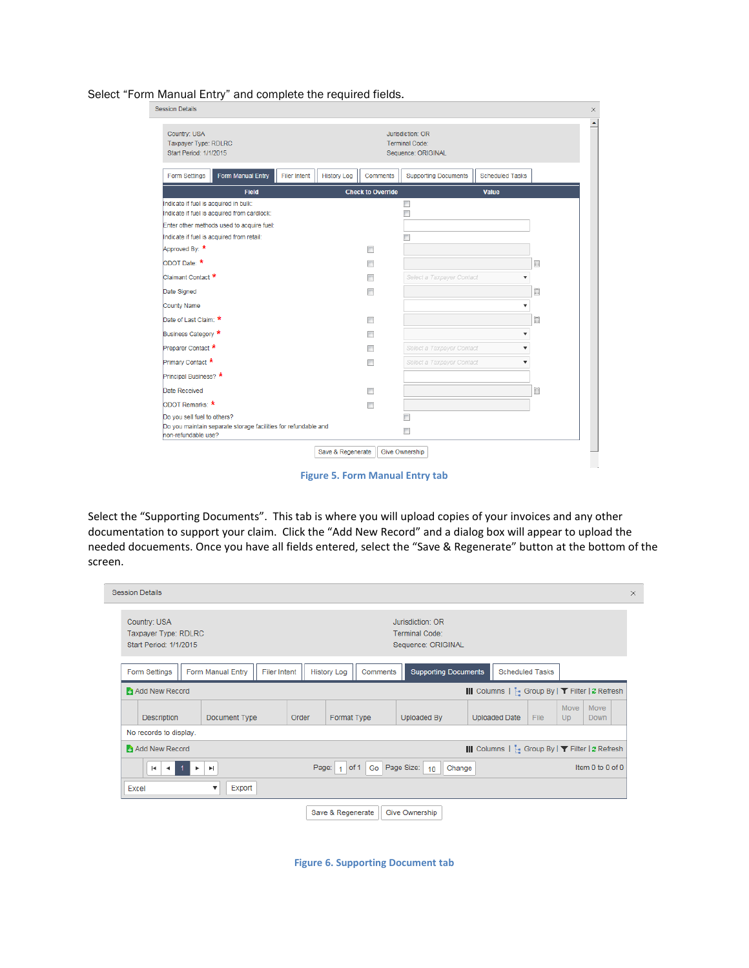Select "Form Manual Entry" and complete the required fields.

| Form Manual Entry<br><b>Filer Intent</b><br>Form Settings<br><b>Field</b><br>Indicate if fuel is acquired in bulk:<br>Indicate if fuel is acquired from cardlock:<br>Enter other methods used to acquire fuel: | <b>History Log</b><br>Comments<br><b>Check to Override</b> | <b>Scheduled Tasks</b><br><b>Supporting Documents</b><br><b>Value</b><br>т |                           |
|----------------------------------------------------------------------------------------------------------------------------------------------------------------------------------------------------------------|------------------------------------------------------------|----------------------------------------------------------------------------|---------------------------|
|                                                                                                                                                                                                                |                                                            |                                                                            |                           |
|                                                                                                                                                                                                                |                                                            |                                                                            |                           |
|                                                                                                                                                                                                                |                                                            |                                                                            |                           |
|                                                                                                                                                                                                                |                                                            |                                                                            |                           |
| Indicate if fuel is acquired from retail:                                                                                                                                                                      |                                                            |                                                                            |                           |
| Approved By: *                                                                                                                                                                                                 | $\Box$                                                     |                                                                            |                           |
| ODOT Date: *                                                                                                                                                                                                   | П                                                          |                                                                            | 僵                         |
| Claimant Contact *                                                                                                                                                                                             | П                                                          | Select a Taxpayer Contact                                                  | $\boldsymbol{\mathrm{v}}$ |
| Date Signed                                                                                                                                                                                                    | П                                                          |                                                                            | 圖                         |
| County Name                                                                                                                                                                                                    |                                                            |                                                                            | ▼                         |
| Date of Last Claim: *                                                                                                                                                                                          | П                                                          |                                                                            | 圜                         |
| Business Category *                                                                                                                                                                                            | П                                                          |                                                                            | $\overline{\mathbf{v}}$   |
| Preparer Contact *                                                                                                                                                                                             | $\Box$                                                     | Select a Taxpayer Contact                                                  | $\overline{\mathbf{v}}$   |
| Primary Contact *                                                                                                                                                                                              | П                                                          | Select a Taxpayer Contact                                                  | $\boldsymbol{\mathrm{v}}$ |
| Principal Business? *                                                                                                                                                                                          |                                                            |                                                                            |                           |
| Date Received                                                                                                                                                                                                  | $\Box$                                                     |                                                                            | 囲                         |
| ODOT Remarks: *                                                                                                                                                                                                | $\Box$                                                     |                                                                            |                           |
| Do you sell fuel to others?<br>Do you maintain separate storage facilities for refundable and<br>non-refundable use?                                                                                           |                                                            | m<br>$\Box$                                                                |                           |

**Figure 5. Form Manual Entry tab**

Select the "Supporting Documents". This tab is where you will upload copies of your invoices and any other documentation to support your claim. Click the "Add New Record" and a dialog box will appear to upload the needed docuements. Once you have all fields entered, select the "Save & Regenerate" button at the bottom of the screen.

|                                                                | <b>Session Details</b>                                                                                                                                         |  |             |                      |  |                                                                                         |             |                |               |                                                  |            |                     |  | × |
|----------------------------------------------------------------|----------------------------------------------------------------------------------------------------------------------------------------------------------------|--|-------------|----------------------|--|-----------------------------------------------------------------------------------------|-------------|----------------|---------------|--------------------------------------------------|------------|---------------------|--|---|
| Country: USA<br>Taxpayer Type: RDLRC<br>Start Period: 1/1/2015 |                                                                                                                                                                |  |             |                      |  | Jurisdiction: OR<br>Terminal Code:<br>Sequence: ORIGINAL                                |             |                |               |                                                  |            |                     |  |   |
|                                                                | Form Manual Entry<br>Form Settings<br><b>Filer Intent</b>                                                                                                      |  |             |                      |  | <b>Supporting Documents</b><br><b>Scheduled Tasks</b><br><b>History Log</b><br>Comments |             |                |               |                                                  |            |                     |  |   |
|                                                                | Add New Record                                                                                                                                                 |  |             |                      |  |                                                                                         |             |                |               | III Columns   Fe Group By   ▼ Filter   2 Refresh |            |                     |  |   |
|                                                                | Description<br>Document Type                                                                                                                                   |  |             | Format Type<br>Order |  |                                                                                         | Uploaded By |                | Uploaded Date | File                                             | Move<br>Up | Move<br><b>Down</b> |  |   |
|                                                                | No records to display.                                                                                                                                         |  |             |                      |  |                                                                                         |             |                |               |                                                  |            |                     |  |   |
|                                                                | Add New Record                                                                                                                                                 |  |             |                      |  |                                                                                         |             |                |               | III Columns   [ Group By   ▼ Filter   2 Refresh  |            |                     |  |   |
|                                                                | Page Size:<br>Page:<br>$\overline{\phantom{a}}$ Go<br>Item 0 to 0 of 0<br>$1$ of 1<br>Change<br>10<br>$\blacksquare$<br>$\blacktriangleright$<br>$\rightarrow$ |  |             |                      |  |                                                                                         |             |                |               |                                                  |            |                     |  |   |
|                                                                | Excel                                                                                                                                                          |  | Export<br>▼ |                      |  |                                                                                         |             |                |               |                                                  |            |                     |  |   |
|                                                                |                                                                                                                                                                |  |             |                      |  | Save & Regenerate                                                                       |             | Give Ownership |               |                                                  |            |                     |  |   |

**Figure 6. Supporting Document tab**